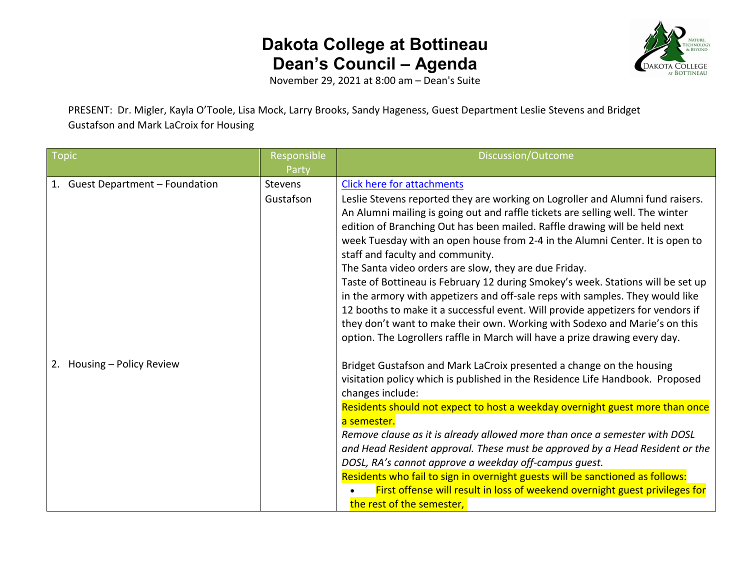

November 29, 2021 at 8:00 am – Dean's Suite

PRESENT: Dr. Migler, Kayla O'Toole, Lisa Mock, Larry Brooks, Sandy Hageness, Guest Department Leslie Stevens and Bridget Gustafson and Mark LaCroix for Housing

| Topic                            | Responsible | Discussion/Outcome                                                              |
|----------------------------------|-------------|---------------------------------------------------------------------------------|
|                                  | Party       |                                                                                 |
| 1. Guest Department - Foundation | Stevens     | <b>Click here for attachments</b>                                               |
|                                  | Gustafson   | Leslie Stevens reported they are working on Logroller and Alumni fund raisers.  |
|                                  |             | An Alumni mailing is going out and raffle tickets are selling well. The winter  |
|                                  |             | edition of Branching Out has been mailed. Raffle drawing will be held next      |
|                                  |             | week Tuesday with an open house from 2-4 in the Alumni Center. It is open to    |
|                                  |             | staff and faculty and community.                                                |
|                                  |             | The Santa video orders are slow, they are due Friday.                           |
|                                  |             | Taste of Bottineau is February 12 during Smokey's week. Stations will be set up |
|                                  |             | in the armory with appetizers and off-sale reps with samples. They would like   |
|                                  |             | 12 booths to make it a successful event. Will provide appetizers for vendors if |
|                                  |             | they don't want to make their own. Working with Sodexo and Marie's on this      |
|                                  |             | option. The Logrollers raffle in March will have a prize drawing every day.     |
| 2. Housing - Policy Review       |             | Bridget Gustafson and Mark LaCroix presented a change on the housing            |
|                                  |             | visitation policy which is published in the Residence Life Handbook. Proposed   |
|                                  |             | changes include:                                                                |
|                                  |             | Residents should not expect to host a weekday overnight guest more than once    |
|                                  |             | a semester.                                                                     |
|                                  |             | Remove clause as it is already allowed more than once a semester with DOSL      |
|                                  |             | and Head Resident approval. These must be approved by a Head Resident or the    |
|                                  |             | DOSL, RA's cannot approve a weekday off-campus guest.                           |
|                                  |             | Residents who fail to sign in overnight guests will be sanctioned as follows:   |
|                                  |             | First offense will result in loss of weekend overnight guest privileges for     |
|                                  |             | the rest of the semester,                                                       |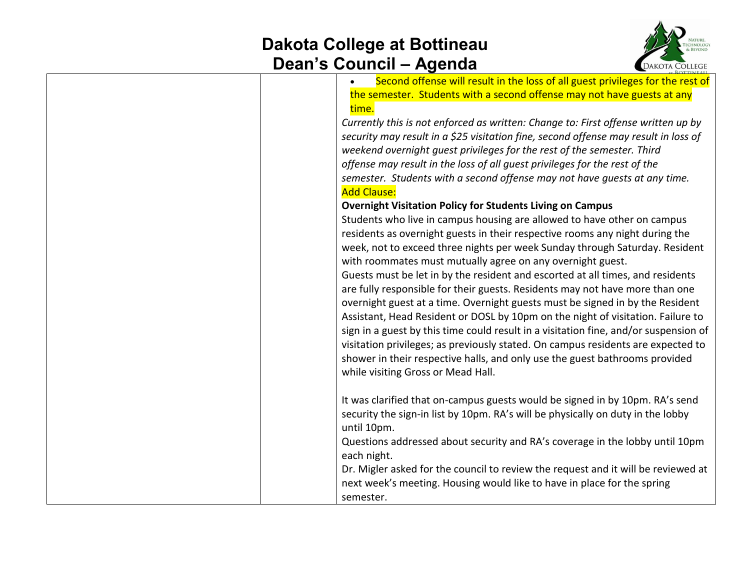

| Second offense will result in the loss of all guest privileges for the rest of       |
|--------------------------------------------------------------------------------------|
| the semester. Students with a second offense may not have guests at any              |
| time.                                                                                |
| Currently this is not enforced as written: Change to: First offense written up by    |
| security may result in a \$25 visitation fine, second offense may result in loss of  |
| weekend overnight guest privileges for the rest of the semester. Third               |
| offense may result in the loss of all guest privileges for the rest of the           |
| semester. Students with a second offense may not have guests at any time.            |
| <b>Add Clause:</b>                                                                   |
| <b>Overnight Visitation Policy for Students Living on Campus</b>                     |
| Students who live in campus housing are allowed to have other on campus              |
| residents as overnight guests in their respective rooms any night during the         |
| week, not to exceed three nights per week Sunday through Saturday. Resident          |
| with roommates must mutually agree on any overnight guest.                           |
| Guests must be let in by the resident and escorted at all times, and residents       |
| are fully responsible for their guests. Residents may not have more than one         |
| overnight guest at a time. Overnight guests must be signed in by the Resident        |
| Assistant, Head Resident or DOSL by 10pm on the night of visitation. Failure to      |
| sign in a guest by this time could result in a visitation fine, and/or suspension of |
| visitation privileges; as previously stated. On campus residents are expected to     |
| shower in their respective halls, and only use the guest bathrooms provided          |
| while visiting Gross or Mead Hall.                                                   |
|                                                                                      |
| It was clarified that on-campus guests would be signed in by 10pm. RA's send         |
| security the sign-in list by 10pm. RA's will be physically on duty in the lobby      |
| until 10pm.                                                                          |
| Questions addressed about security and RA's coverage in the lobby until 10pm         |
| each night.                                                                          |
| Dr. Migler asked for the council to review the request and it will be reviewed at    |
| next week's meeting. Housing would like to have in place for the spring              |
| semester.                                                                            |
|                                                                                      |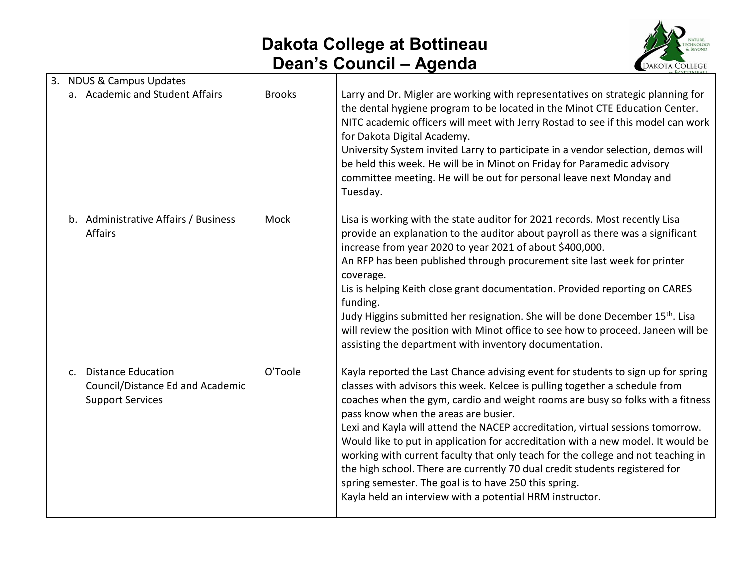

|                | 3. NDUS & Campus Updates                                                                 |               |                                                                                                                                                                                                                                                                                                                                                                                                                                                                                                                                                                                                                                                                                                                                                         |
|----------------|------------------------------------------------------------------------------------------|---------------|---------------------------------------------------------------------------------------------------------------------------------------------------------------------------------------------------------------------------------------------------------------------------------------------------------------------------------------------------------------------------------------------------------------------------------------------------------------------------------------------------------------------------------------------------------------------------------------------------------------------------------------------------------------------------------------------------------------------------------------------------------|
|                | a. Academic and Student Affairs                                                          | <b>Brooks</b> | Larry and Dr. Migler are working with representatives on strategic planning for<br>the dental hygiene program to be located in the Minot CTE Education Center.<br>NITC academic officers will meet with Jerry Rostad to see if this model can work<br>for Dakota Digital Academy.<br>University System invited Larry to participate in a vendor selection, demos will<br>be held this week. He will be in Minot on Friday for Paramedic advisory<br>committee meeting. He will be out for personal leave next Monday and<br>Tuesday.                                                                                                                                                                                                                    |
|                | b. Administrative Affairs / Business<br><b>Affairs</b>                                   | Mock          | Lisa is working with the state auditor for 2021 records. Most recently Lisa<br>provide an explanation to the auditor about payroll as there was a significant<br>increase from year 2020 to year 2021 of about \$400,000.<br>An RFP has been published through procurement site last week for printer<br>coverage.<br>Lis is helping Keith close grant documentation. Provided reporting on CARES<br>funding.<br>Judy Higgins submitted her resignation. She will be done December 15 <sup>th</sup> . Lisa<br>will review the position with Minot office to see how to proceed. Janeen will be<br>assisting the department with inventory documentation.                                                                                                |
| C <sub>1</sub> | <b>Distance Education</b><br>Council/Distance Ed and Academic<br><b>Support Services</b> | O'Toole       | Kayla reported the Last Chance advising event for students to sign up for spring<br>classes with advisors this week. Kelcee is pulling together a schedule from<br>coaches when the gym, cardio and weight rooms are busy so folks with a fitness<br>pass know when the areas are busier.<br>Lexi and Kayla will attend the NACEP accreditation, virtual sessions tomorrow.<br>Would like to put in application for accreditation with a new model. It would be<br>working with current faculty that only teach for the college and not teaching in<br>the high school. There are currently 70 dual credit students registered for<br>spring semester. The goal is to have 250 this spring.<br>Kayla held an interview with a potential HRM instructor. |